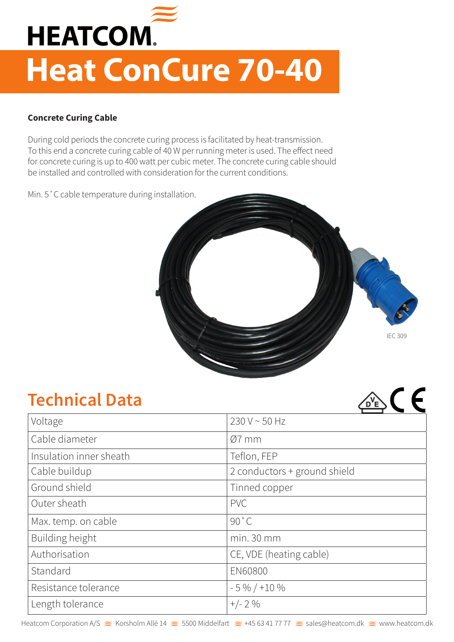

# **Heat ConCure 70-40**

#### **Concrete Curing Cable**

During cold periods the concrete curing process is facilitated by heat-transmission. To this end a concrete curing cable of 40 W per running meter is used. The effect need for concrete curing is up to 400 watt per cubic meter. The concrete curing cable should be installed and controlled with consideration for the current conditions.

Min. 5˚C cable temperature during installation.



 $\triangle f$ 

## **Technical Data**

| Voltage                 | $230 V \sim 50 Hz$           |
|-------------------------|------------------------------|
| Cable diameter          | $Ø7$ mm                      |
| Insulation inner sheath | Teflon, FEP                  |
| Cable buildup           | 2 conductors + ground shield |
| Ground shield           | Tinned copper                |
| Outer sheath            | <b>PVC</b>                   |
| Max. temp. on cable     | $90^{\circ}$ C               |
| Building height         | min. 30 mm                   |
| Authorisation           | CE, VDE (heating cable)      |
| Standard                | <b>EN60800</b>               |
| Resistance tolerance    | $-5\% / +10\%$               |
| Length tolerance        | $+/- 2\%$                    |